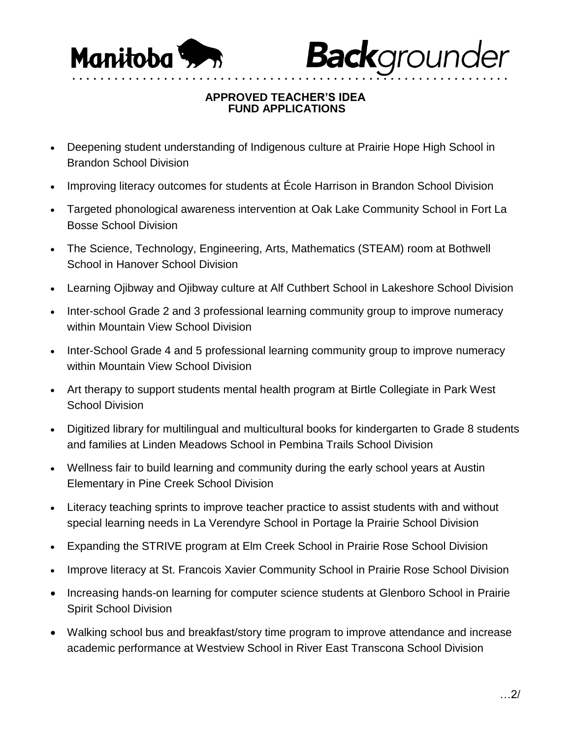

**Back**grounder

## **APPROVED TEACHER'S IDEA FUND APPLICATIONS**

• • • • • • • • • • • • • • • • • • • • • • • • • • • • • • • • • • • • • • • • • • • • • • • • • • • • • • • • • • • • • •

- Deepening student understanding of Indigenous culture at Prairie Hope High School in Brandon School Division
- Improving literacy outcomes for students at École Harrison in Brandon School Division
- Targeted phonological awareness intervention at Oak Lake Community School in Fort La Bosse School Division
- The Science, Technology, Engineering, Arts, Mathematics (STEAM) room at Bothwell School in Hanover School Division
- Learning Ojibway and Ojibway culture at Alf Cuthbert School in Lakeshore School Division
- Inter-school Grade 2 and 3 professional learning community group to improve numeracy within Mountain View School Division
- Inter-School Grade 4 and 5 professional learning community group to improve numeracy within Mountain View School Division
- Art therapy to support students mental health program at Birtle Collegiate in Park West School Division
- Digitized library for multilingual and multicultural books for kindergarten to Grade 8 students and families at Linden Meadows School in Pembina Trails School Division
- Wellness fair to build learning and community during the early school years at Austin Elementary in Pine Creek School Division
- Literacy teaching sprints to improve teacher practice to assist students with and without special learning needs in La Verendyre School in Portage la Prairie School Division
- Expanding the STRIVE program at Elm Creek School in Prairie Rose School Division
- Improve literacy at St. Francois Xavier Community School in Prairie Rose School Division
- Increasing hands-on learning for computer science students at Glenboro School in Prairie Spirit School Division
- Walking school bus and breakfast/story time program to improve attendance and increase academic performance at Westview School in River East Transcona School Division